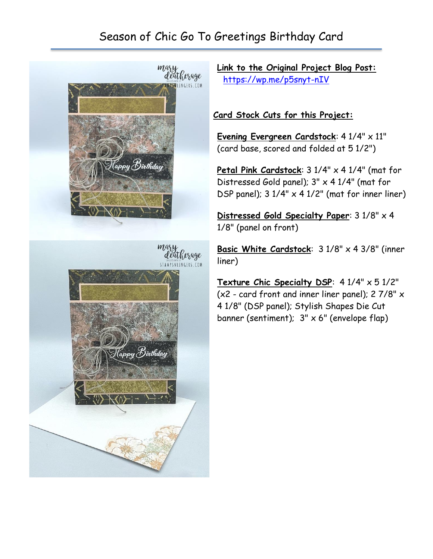## Season of Chic Go To Greetings Birthday Card



**Link to the Original Project Blog Post:** <https://wp.me/p5snyt-nIV>

## **Card Stock Cuts for this Project:**

**Evening Evergreen Cardstock**: 4 1/4" x 11" (card base, scored and folded at 5 1/2")

Petal Pink Cardstock: 3 1/4" x 4 1/4" (mat for Distressed Gold panel); 3" x 4 1/4" (mat for DSP panel);  $3 \frac{1}{4} \times 4 \frac{1}{2}$  (mat for inner liner)

**Distressed Gold Specialty Paper**: 3 1/8" x 4 1/8" (panel on front)

**Basic White Cardstock**: 3 1/8" x 4 3/8" (inner liner)

**Texture Chic Specialty DSP**: 4 1/4" x 5 1/2" (x2 - card front and inner liner panel); 2 7/8" x 4 1/8" (DSP panel); Stylish Shapes Die Cut banner (sentiment);  $3'' \times 6''$  (envelope flap)

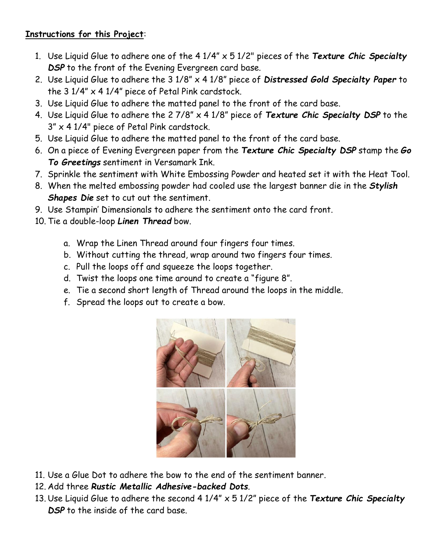## **Instructions for this Project**:

- 1. Use Liquid Glue to adhere one of the 4 1/4" x 5 1/2" pieces of the *Texture Chic Specialty DSP* to the front of the Evening Evergreen card base.
- 2. Use Liquid Glue to adhere the 3 1/8" x 4 1/8" piece of *Distressed Gold Specialty Paper* to the  $3\frac{1}{4}$  x 4  $\frac{1}{4}$  piece of Petal Pink cardstock.
- 3. Use Liquid Glue to adhere the matted panel to the front of the card base.
- 4. Use Liquid Glue to adhere the 2 7/8" x 4 1/8" piece of *Texture Chic Specialty DSP* to the 3" x 4 1/4" piece of Petal Pink cardstock.
- 5. Use Liquid Glue to adhere the matted panel to the front of the card base.
- 6. On a piece of Evening Evergreen paper from the *Texture Chic Specialty DSP* stamp the *Go To Greetings* sentiment in Versamark Ink.
- 7. Sprinkle the sentiment with White Embossing Powder and heated set it with the Heat Tool.
- 8. When the melted embossing powder had cooled use the largest banner die in the *Stylish Shapes Die* set to cut out the sentiment.
- 9. Use Stampin' Dimensionals to adhere the sentiment onto the card front.
- 10. Tie a double-loop *Linen Thread* bow.
	- a. Wrap the Linen Thread around four fingers four times.
	- b. Without cutting the thread, wrap around two fingers four times.
	- c. Pull the loops off and squeeze the loops together.
	- d. Twist the loops one time around to create a "figure 8".
	- e. Tie a second short length of Thread around the loops in the middle.
	- f. Spread the loops out to create a bow.



- 11. Use a Glue Dot to adhere the bow to the end of the sentiment banner.
- 12. Add three *Rustic Metallic Adhesive-backed Dots*.
- 13. Use Liquid Glue to adhere the second 4 1/4" x 5 1/2" piece of the *Texture Chic Specialty DSP* to the inside of the card base.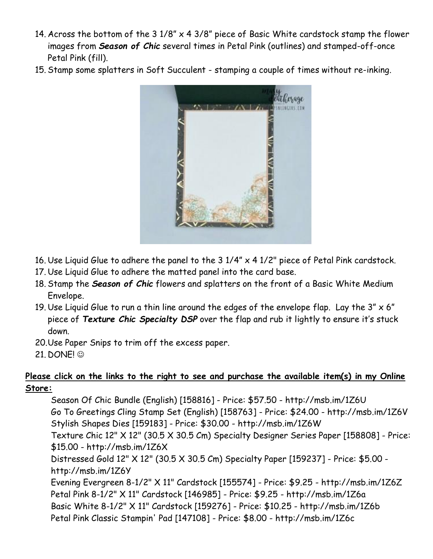- 14. Across the bottom of the 3 1/8" x 4 3/8" piece of Basic White cardstock stamp the flower images from *Season of Chic* several times in Petal Pink (outlines) and stamped-off-once Petal Pink (fill).
- 15. Stamp some splatters in Soft Succulent stamping a couple of times without re-inking.



- 16. Use Liquid Glue to adhere the panel to the  $3\frac{1}{4} \times 4\frac{1}{2}$ " piece of Petal Pink cardstock.
- 17. Use Liquid Glue to adhere the matted panel into the card base.
- 18. Stamp the *Season of Chic* flowers and splatters on the front of a Basic White Medium Envelope.
- 19. Use Liquid Glue to run a thin line around the edges of the envelope flap. Lay the  $3'' \times 6''$ piece of *Texture Chic Specialty DSP* over the flap and rub it lightly to ensure it's stuck down.
- 20.Use Paper Snips to trim off the excess paper.
- 21. DONE! ☺

## **Please click on the links to the right to see and purchase the available item(s) in my Online Store:**

Season Of Chic Bundle (English) [158816] - Price: \$57.50 - http://msb.im/1Z6U Go To Greetings Cling Stamp Set (English) [158763] - Price: \$24.00 - http://msb.im/1Z6V Stylish Shapes Dies [159183] - Price: \$30.00 - http://msb.im/1Z6W Texture Chic 12" X 12" (30.5 X 30.5 Cm) Specialty Designer Series Paper [158808] - Price: \$15.00 - http://msb.im/1Z6X Distressed Gold 12" X 12" (30.5 X 30.5 Cm) Specialty Paper [159237] - Price: \$5.00 http://msb.im/1Z6Y Evening Evergreen 8-1/2" X 11" Cardstock [155574] - Price: \$9.25 - http://msb.im/1Z6Z Petal Pink 8-1/2" X 11" Cardstock [146985] - Price: \$9.25 - http://msb.im/1Z6a Basic White 8-1/2" X 11" Cardstock [159276] - Price: \$10.25 - http://msb.im/1Z6b Petal Pink Classic Stampin' Pad [147108] - Price: \$8.00 - http://msb.im/1Z6c